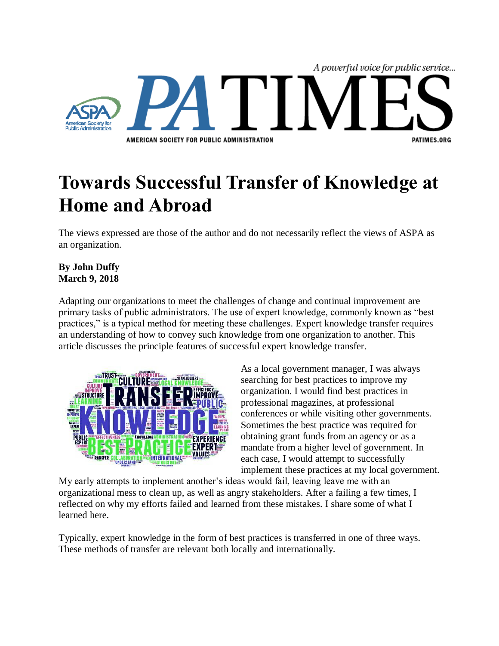

## **Towards Successful Transfer of Knowledge at Home and Abroad**

The views expressed are those of the author and do not necessarily reflect the views of ASPA as an organization.

## **By John Duffy March 9, 2018**

Adapting our organizations to meet the challenges of change and continual improvement are primary tasks of public administrators. The use of expert knowledge, commonly known as "best practices," is a typical method for meeting these challenges. Expert knowledge transfer requires an understanding of how to convey such knowledge from one organization to another. This article discusses the principle features of successful expert knowledge transfer.



As a local government manager, I was always searching for best practices to improve my organization. I would find best practices in professional magazines, at professional conferences or while visiting other governments. Sometimes the best practice was required for obtaining grant funds from an agency or as a mandate from a higher level of government. In each case, I would attempt to successfully implement these practices at my local government.

My early attempts to implement another's ideas would fail, leaving leave me with an organizational mess to clean up, as well as angry stakeholders. After a failing a few times, I reflected on why my efforts failed and learned from these mistakes. I share some of what I learned here.

Typically, expert knowledge in the form of best practices is transferred in one of three ways. These methods of transfer are relevant both locally and internationally.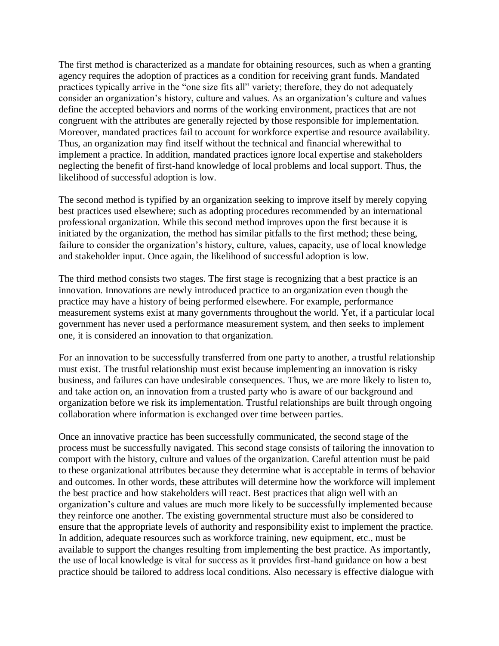The first method is characterized as a mandate for obtaining resources, such as when a granting agency requires the adoption of practices as a condition for receiving grant funds. Mandated practices typically arrive in the "one size fits all" variety; therefore, they do not adequately consider an organization's history, culture and values. As an organization's culture and values define the accepted behaviors and norms of the working environment, practices that are not congruent with the attributes are generally rejected by those responsible for implementation. Moreover, mandated practices fail to account for workforce expertise and resource availability. Thus, an organization may find itself without the technical and financial wherewithal to implement a practice. In addition, mandated practices ignore local expertise and stakeholders neglecting the benefit of first-hand knowledge of local problems and local support. Thus, the likelihood of successful adoption is low.

The second method is typified by an organization seeking to improve itself by merely copying best practices used elsewhere; such as adopting procedures recommended by an international professional organization. While this second method improves upon the first because it is initiated by the organization, the method has similar pitfalls to the first method; these being, failure to consider the organization's history, culture, values, capacity, use of local knowledge and stakeholder input. Once again, the likelihood of successful adoption is low.

The third method consists two stages. The first stage is recognizing that a best practice is an innovation. Innovations are newly introduced practice to an organization even though the practice may have a history of being performed elsewhere. For example, performance measurement systems exist at many governments throughout the world. Yet, if a particular local government has never used a performance measurement system, and then seeks to implement one, it is considered an innovation to that organization.

For an innovation to be successfully transferred from one party to another, a trustful relationship must exist. The trustful relationship must exist because implementing an innovation is risky business, and failures can have undesirable consequences. Thus, we are more likely to listen to, and take action on, an innovation from a trusted party who is aware of our background and organization before we risk its implementation. Trustful relationships are built through ongoing collaboration where information is exchanged over time between parties.

Once an innovative practice has been successfully communicated, the second stage of the process must be successfully navigated. This second stage consists of tailoring the innovation to comport with the history, culture and values of the organization. Careful attention must be paid to these organizational attributes because they determine what is acceptable in terms of behavior and outcomes. In other words, these attributes will determine how the workforce will implement the best practice and how stakeholders will react. Best practices that align well with an organization's culture and values are much more likely to be successfully implemented because they reinforce one another. The existing governmental structure must also be considered to ensure that the appropriate levels of authority and responsibility exist to implement the practice. In addition, adequate resources such as workforce training, new equipment, etc., must be available to support the changes resulting from implementing the best practice. As importantly, the use of local knowledge is vital for success as it provides first-hand guidance on how a best practice should be tailored to address local conditions. Also necessary is effective dialogue with